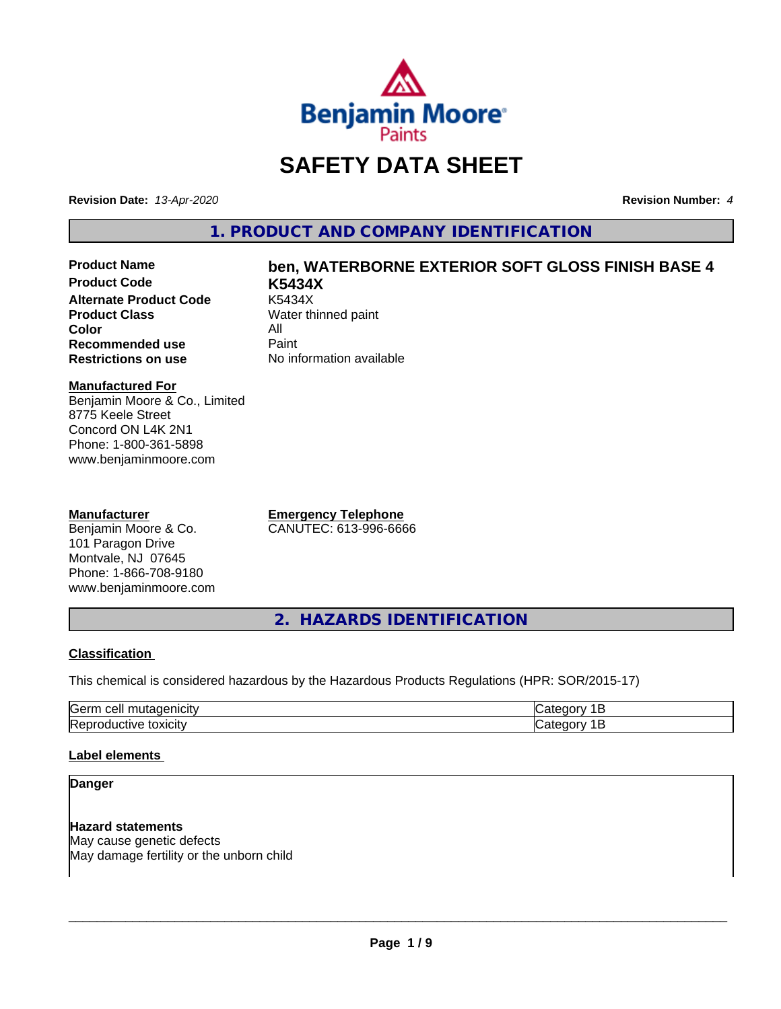

# **SAFETY DATA SHEET**

**Revision Date:** *13-Apr-2020* **Revision Number:** *4*

**1. PRODUCT AND COMPANY IDENTIFICATION**

**Product Code K5434X Alternate Product Code**<br>Product Class **Color** All<br> **Recommended use** Paint **Recommended use**<br>Restrictions on use

# **Product Name ben, WATERBORNE EXTERIOR SOFT GLOSS FINISH BASE 4**

**Water thinned paint No information available** 

### **Manufactured For**

Benjamin Moore & Co., Limited 8775 Keele Street Concord ON L4K 2N1 Phone: 1-800-361-5898 www.benjaminmoore.com

### **Manufacturer**

Benjamin Moore & Co. 101 Paragon Drive Montvale, NJ 07645 Phone: 1-866-708-9180 www.benjaminmoore.com **Emergency Telephone** CANUTEC: 613-996-6666

**2. HAZARDS IDENTIFICATION**

### **Classification**

This chemical is considered hazardous by the Hazardous Products Regulations (HPR: SOR/2015-17)

| $\sim$<br>ras<br>$\cdot$                 |  |
|------------------------------------------|--|
| חו<br>.<br>.<br>IR A'<br><b>JXIUII</b> ™ |  |

### **Label elements**

### **Danger**

**Hazard statements** May cause genetic defects May damage fertility or the unborn child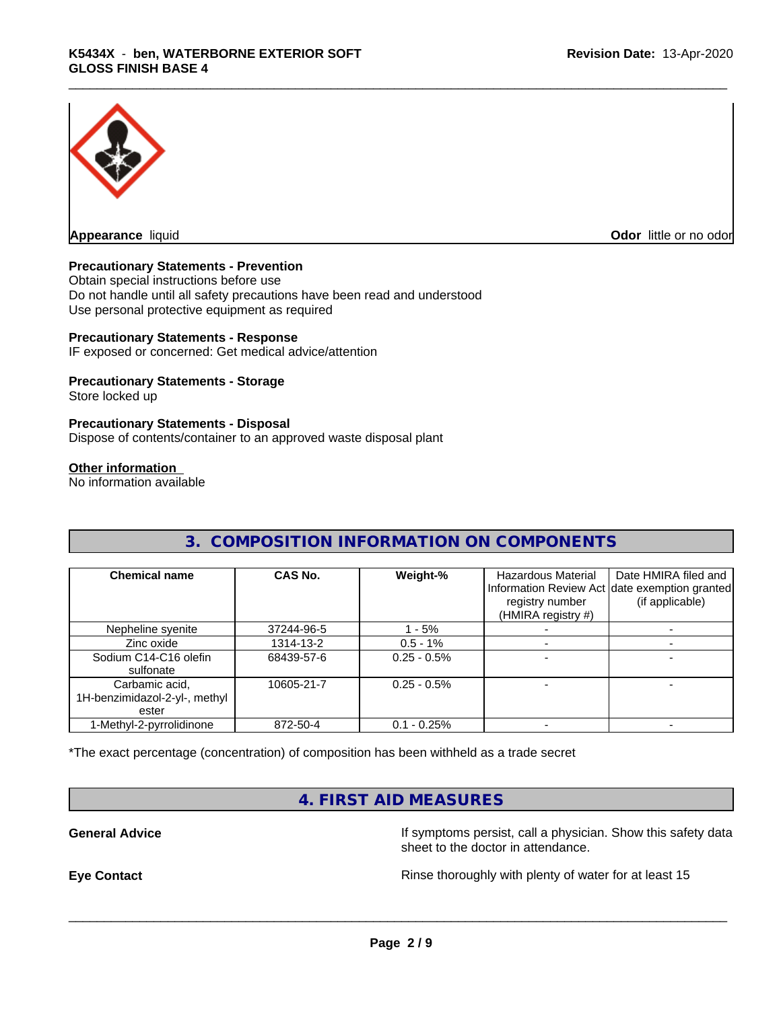

**Appearance** liquid **Odor in the original of the original of the original of the original of the original of the original of the original of the original of the original of the original of the original of the original of t** 

### **Precautionary Statements - Prevention**

Obtain special instructions before use Do not handle until all safety precautions have been read and understood Use personal protective equipment as required

### **Precautionary Statements - Response**

IF exposed or concerned: Get medical advice/attention

### **Precautionary Statements - Storage**

Store locked up

### **Precautionary Statements - Disposal**

Dispose of contents/container to an approved waste disposal plant

### **Other information**

No information available

### **3. COMPOSITION INFORMATION ON COMPONENTS**

| <b>Chemical name</b>                                     | CAS No.    | Weight-%       | Hazardous Material<br>registry number<br>(HMIRA registry #) | Date HMIRA filed and<br>Information Review Act date exemption granted<br>(if applicable) |
|----------------------------------------------------------|------------|----------------|-------------------------------------------------------------|------------------------------------------------------------------------------------------|
| Nepheline syenite                                        | 37244-96-5 | - 5%           |                                                             |                                                                                          |
| Zinc oxide                                               | 1314-13-2  | $0.5 - 1\%$    |                                                             |                                                                                          |
| Sodium C14-C16 olefin<br>sulfonate                       | 68439-57-6 | $0.25 - 0.5%$  |                                                             |                                                                                          |
| Carbamic acid,<br>1H-benzimidazol-2-yl-, methyl<br>ester | 10605-21-7 | $0.25 - 0.5\%$ |                                                             |                                                                                          |
| 1-Methyl-2-pyrrolidinone                                 | 872-50-4   | $0.1 - 0.25%$  |                                                             |                                                                                          |

\*The exact percentage (concentration) of composition has been withheld as a trade secret

### **4. FIRST AID MEASURES**

**General Advice If symptoms persist, call a physician. Show this safety data** If symptoms persist, call a physician. Show this safety data sheet to the doctor in attendance.

**Eye Contact Exercise 20 All 20 All 20 All 20 All 20 All 20 All 20 All 20 All 20 All 20 All 20 All 20 All 20 All 20 All 20 All 20 All 20 All 20 All 20 All 20 All 20 All 20 All 20 All 20 All 20 All 20 All 20 All 20 All 20**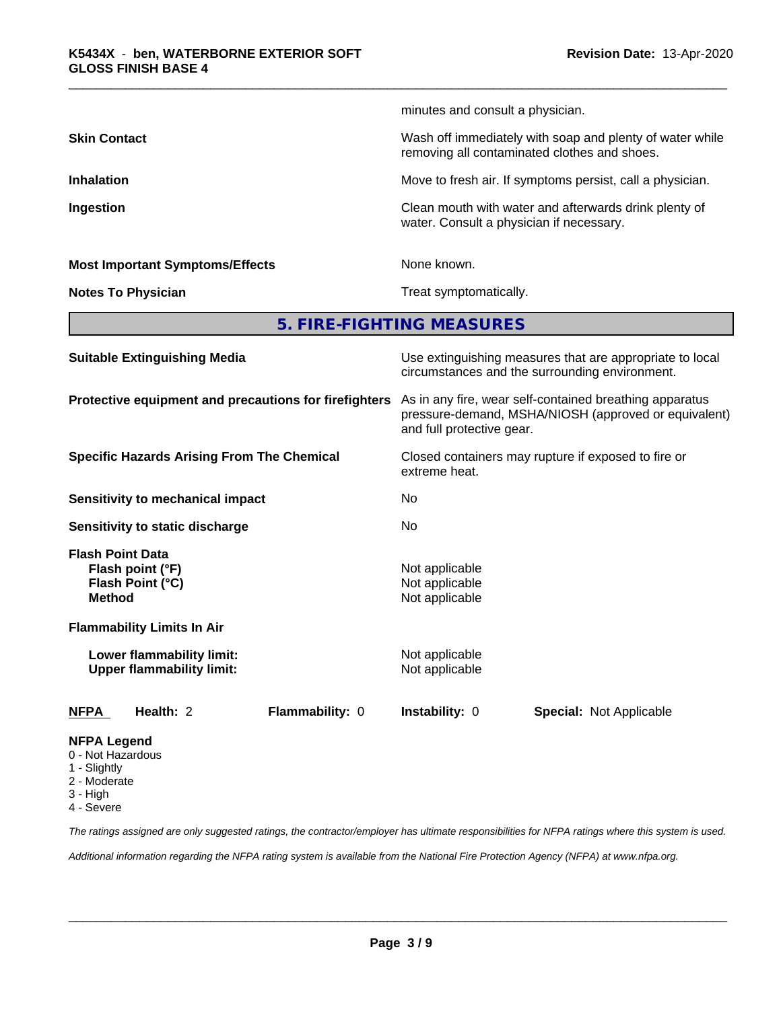|                                        | minutes and consult a physician.                                                                         |
|----------------------------------------|----------------------------------------------------------------------------------------------------------|
| <b>Skin Contact</b>                    | Wash off immediately with soap and plenty of water while<br>removing all contaminated clothes and shoes. |
| <b>Inhalation</b>                      | Move to fresh air. If symptoms persist, call a physician.                                                |
| Ingestion                              | Clean mouth with water and afterwards drink plenty of<br>water. Consult a physician if necessary.        |
| <b>Most Important Symptoms/Effects</b> | None known.                                                                                              |
| <b>Notes To Physician</b>              | Treat symptomatically.                                                                                   |
|                                        | 5. FIRE-FIGHTING MEASURES                                                                                |
| <b>Suitable Extinguishing Media</b>    | Use extinguishing measures that are appropriate to local                                                 |

|                                                                                                                       | circumstances and the surrounding environment.                                                                                               |
|-----------------------------------------------------------------------------------------------------------------------|----------------------------------------------------------------------------------------------------------------------------------------------|
| Protective equipment and precautions for firefighters                                                                 | As in any fire, wear self-contained breathing apparatus<br>pressure-demand, MSHA/NIOSH (approved or equivalent)<br>and full protective gear. |
| <b>Specific Hazards Arising From The Chemical</b>                                                                     | Closed containers may rupture if exposed to fire or<br>extreme heat.                                                                         |
| <b>Sensitivity to mechanical impact</b>                                                                               | No.                                                                                                                                          |
| Sensitivity to static discharge                                                                                       | No                                                                                                                                           |
| <b>Flash Point Data</b><br>Flash point (°F)<br>Flash Point (°C)<br><b>Method</b><br><b>Flammability Limits In Air</b> | Not applicable<br>Not applicable<br>Not applicable                                                                                           |
| Lower flammability limit:<br><b>Upper flammability limit:</b>                                                         | Not applicable<br>Not applicable                                                                                                             |
| Health: 2<br>Flammability: 0<br><b>NFPA</b>                                                                           | <b>Instability: 0</b><br><b>Special: Not Applicable</b>                                                                                      |
| <b>NFPA Legend</b><br>0 - Not Hazardous<br>1 - Slightly                                                               |                                                                                                                                              |

- 2 Moderate
- 
- 3 High
- 4 Severe

*The ratings assigned are only suggested ratings, the contractor/employer has ultimate responsibilities for NFPA ratings where this system is used.*

*Additional information regarding the NFPA rating system is available from the National Fire Protection Agency (NFPA) at www.nfpa.org.*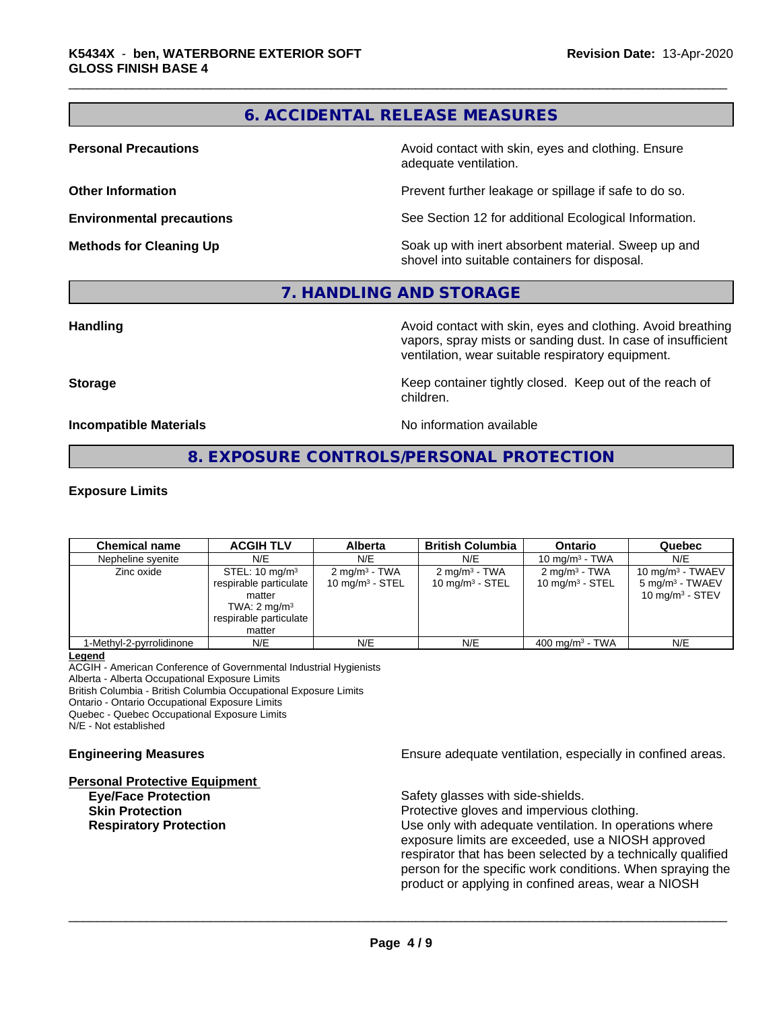### **6. ACCIDENTAL RELEASE MEASURES**

**Personal Precautions Avoid contact with skin, eyes and clothing. Ensure** Avoid contact with skin, eyes and clothing. Ensure adequate ventilation.

**Other Information Department Information Department Intervent further leakage or spillage if safe to do so.** 

**Environmental precautions** See Section 12 for additional Ecological Information.

**Methods for Cleaning Up Example 20 Soak** up with inert absorbent material. Sweep up and shovel into suitable containers for disposal.

### **7. HANDLING AND STORAGE**

**Handling Handling Avoid contact with skin, eyes and clothing. Avoid breathing** vapors, spray mists or sanding dust. In case of insufficient ventilation, wear suitable respiratory equipment.

**Storage Keep container tightly closed. Keep out of the reach of Keep** container tightly closed. Keep out of the reach of children.

**Incompatible Materials Incompatible Materials No information available** 

**8. EXPOSURE CONTROLS/PERSONAL PROTECTION**

### **Exposure Limits**

| <b>Chemical name</b>     | <b>ACGIH TLV</b>                                                                                                             | <b>Alberta</b>                                 | <b>British Columbia</b>                        | <b>Ontario</b>                                          | Quebec                                                                            |
|--------------------------|------------------------------------------------------------------------------------------------------------------------------|------------------------------------------------|------------------------------------------------|---------------------------------------------------------|-----------------------------------------------------------------------------------|
| Nepheline syenite        | N/E                                                                                                                          | N/E                                            | N/E                                            | 10 mg/m $3$ - TWA                                       | N/E                                                                               |
| Zinc oxide               | STEL: $10 \text{ mg/m}^3$<br>respirable particulate<br>matter<br>TWA: $2 \text{ mg/m}^3$<br>respirable particulate<br>matter | $2 \text{ mg/m}^3$ - TWA<br>10 mg/m $3 -$ STEL | $2 \text{ mg/m}^3$ - TWA<br>10 mg/m $3 -$ STEL | $2 \text{ mg/m}^3$ - TWA<br>10 mg/m <sup>3</sup> - STEL | 10 mg/m $3$ - TWAEV<br>5 mg/m <sup>3</sup> - TWAEV<br>10 mg/m <sup>3</sup> - STEV |
| 1-Methyl-2-pyrrolidinone | N/E                                                                                                                          | N/E                                            | N/E                                            | $400 \text{ mg/m}^3$ - TWA                              | N/E                                                                               |

### **Legend**

ACGIH - American Conference of Governmental Industrial Hygienists Alberta - Alberta Occupational Exposure Limits British Columbia - British Columbia Occupational Exposure Limits Ontario - Ontario Occupational Exposure Limits

Quebec - Quebec Occupational Exposure Limits N/E - Not established

# **Personal Protective Equipment**

**Engineering Measures Ensure adequate ventilation, especially in confined areas.** 

**Eye/Face Protection** Safety glasses with side-shields.

 $\overline{\phantom{a}}$  ,  $\overline{\phantom{a}}$  ,  $\overline{\phantom{a}}$  ,  $\overline{\phantom{a}}$  ,  $\overline{\phantom{a}}$  ,  $\overline{\phantom{a}}$  ,  $\overline{\phantom{a}}$  ,  $\overline{\phantom{a}}$  ,  $\overline{\phantom{a}}$  ,  $\overline{\phantom{a}}$  ,  $\overline{\phantom{a}}$  ,  $\overline{\phantom{a}}$  ,  $\overline{\phantom{a}}$  ,  $\overline{\phantom{a}}$  ,  $\overline{\phantom{a}}$  ,  $\overline{\phantom{a}}$ 

**Skin Protection Protection Protective gloves and impervious clothing. Respiratory Protection Exercise 2018** Use only with adequate ventilation. In operations where exposure limits are exceeded, use a NIOSH approved respirator that has been selected by a technically qualified person for the specific work conditions. When spraying the product or applying in confined areas, wear a NIOSH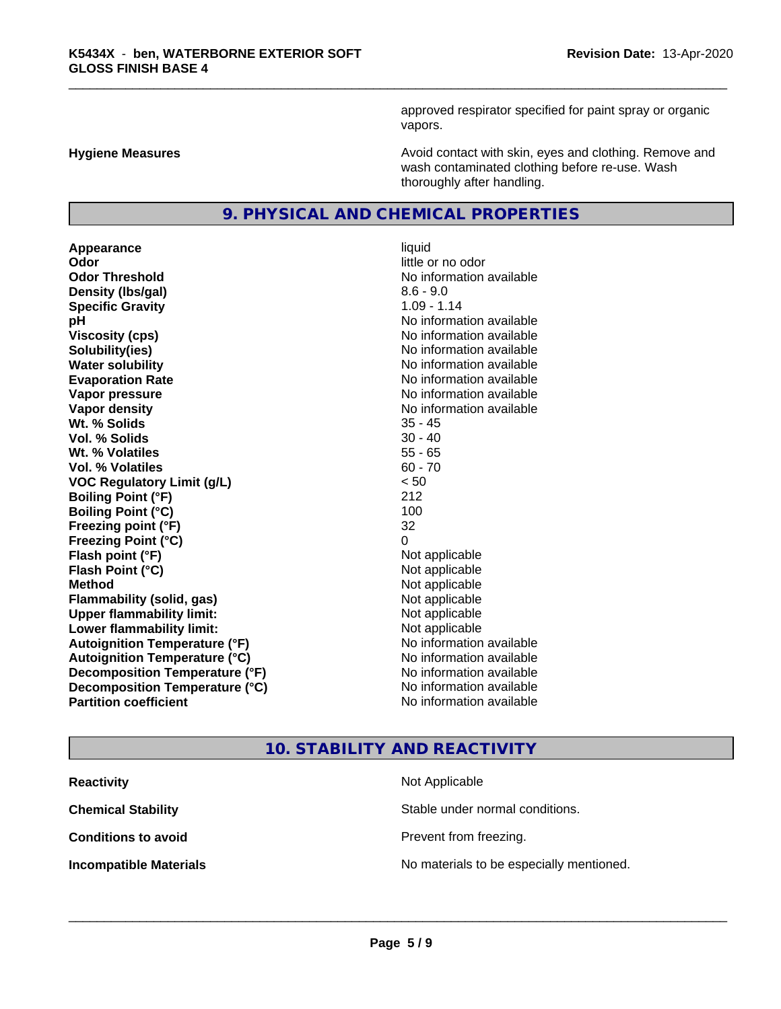approved respirator specified for paint spray or organic vapors.

**Hygiene Measures Avoid contact with skin, eyes and clothing. Remove and Hygiene Measures** and clothing. Remove and wash contaminated clothing before re-use. Wash thoroughly after handling.

### **9. PHYSICAL AND CHEMICAL PROPERTIES**

**Appearance** liquid **Odor** little or no odor **Odor Threshold**<br> **Density (Ibs/aal)**<br> **Density (Ibs/aal)**<br> **Density (Ibs/aal)**<br> **Density (Ibs/aal) Density (lbs/gal) Specific Gravity** 1.09 - 1.14 **pH** No information available **Viscosity (cps)** No information available **Solubility(ies)** No information available **Water solubility Water solubility Water solubility Water solubility Water solubility Water solution Evaporation Rate No information available No information available Vapor pressure** No information available **No information** available **Vapor density No information available No information available Wt. % Solids** 35 - 45 **Vol. % Solids** 30 - 40 **Wt. % Volatiles** 55 - 65 **Vol. % Volatiles** 60 - 70 **VOC Regulatory Limit (g/L)** < 50 **Boiling Point (°F)** 212 **Boiling Point**  $(^{\circ}C)$  100 **Freezing point (°F)** 32 **Freezing Point (°C)** 0 **Flash point (°F)**  $\qquad \qquad$  Not applicable **Flash Point (°C)** Not applicable **Method** Not applicable **Flammability (solid, gas)** Not applicable **Upper flammability limit:** Not applicable **Lower flammability limit:** Not applicable **Autoignition Temperature (°F)** No information available **Autoignition Temperature (°C)** No information available **Decomposition Temperature (°F)** No information available **Decomposition Temperature (°C)** No information available<br> **Partition coefficient Partition available** 

# **No information available**

# **10. STABILITY AND REACTIVITY**

| <b>Reactivity</b>             | Not Applicable                           |
|-------------------------------|------------------------------------------|
| <b>Chemical Stability</b>     | Stable under normal conditions.          |
| <b>Conditions to avoid</b>    | Prevent from freezing.                   |
| <b>Incompatible Materials</b> | No materials to be especially mentioned. |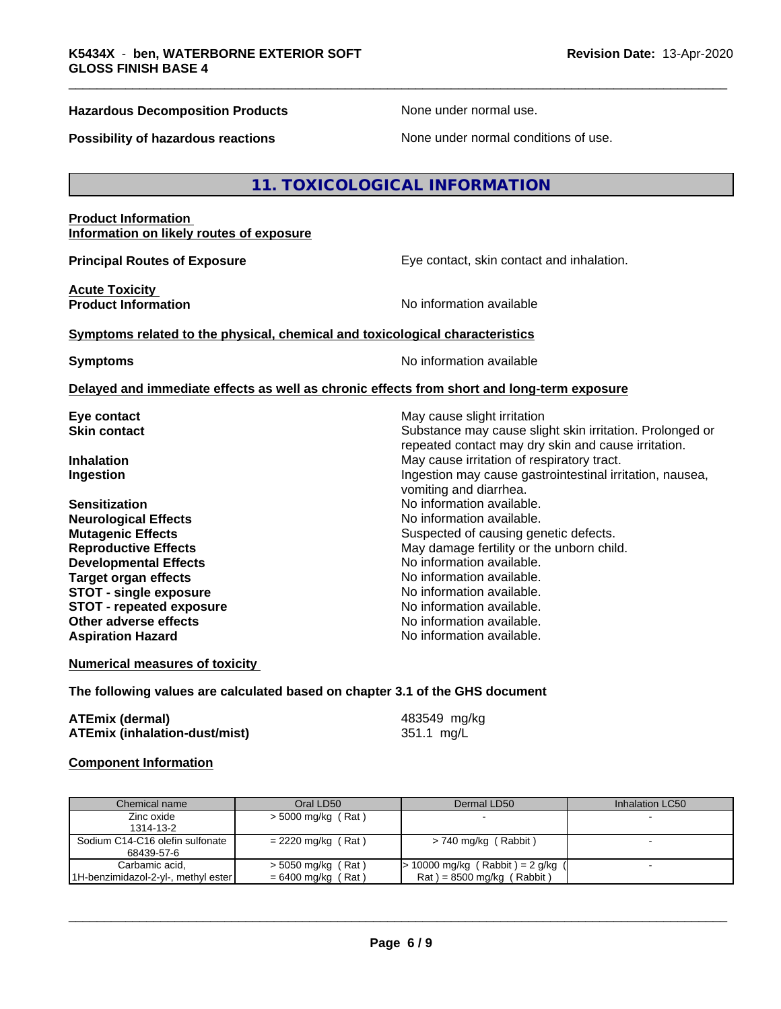### **Hazardous Decomposition Products None under normal use.** None under normal use.

**Possibility of hazardous reactions** None under normal conditions of use.

### **11. TOXICOLOGICAL INFORMATION**

### **Product Information Information on likely routes of exposure**

**Principal Routes of Exposure Exposure** Eye contact, skin contact and inhalation.

**Acute Toxicity** 

**Product Information No information No information** available

### **Symptoms related to the physical,chemical and toxicological characteristics**

**Symptoms** No information available

### **Delayed and immediate effects as well as chronic effects from short and long-term exposure**

**Eye contact Exercise Solution** May cause slight irritation

**Neurological Effects Developmental Effects No information available.**<br> **Target organ effects No information available. Target organ effects STOT -** single exposure<br> **STOT -** repeated exposure<br>
No information available **STOT** - repeated exposure **Other adverse effects** No information available. **Aspiration Hazard No information available.** 

**Skin contact** Substance may cause slight skin irritation. Prolonged or repeated contact may dry skin and cause irritation. **Inhalation** May cause irritation of respiratory tract. **Ingestion Ingestion Ingestion may cause gastrointestinal irritation, nausea,** vomiting and diarrhea. **Sensitization**<br> **No** information available.<br> **No** information available.<br>
No information available. **Mutagenic Effects** Suspected of causing genetic defects. **Reproductive Effects** May damage fertility or the unborn child.<br> **Developmental Effects** Moinformation available.

**Numerical measures of toxicity**

### **The following values are calculated based on chapter 3.1 of the GHS document**

| ATEmix (dermal)                      | 483549 mg/kg |
|--------------------------------------|--------------|
| <b>ATEmix (inhalation-dust/mist)</b> | 351.1 mg/L   |

### **Component Information**

| Chemical name                                         | Oral LD50                                  | Dermal LD50                                                        | Inhalation LC50 |
|-------------------------------------------------------|--------------------------------------------|--------------------------------------------------------------------|-----------------|
| Zinc oxide<br>1314-13-2                               | $>$ 5000 mg/kg (Rat)                       |                                                                    |                 |
| Sodium C14-C16 olefin sulfonate<br>68439-57-6         | $= 2220$ mg/kg (Rat)                       | > 740 mg/kg (Rabbit)                                               |                 |
| Carbamic acid,<br>1H-benzimidazol-2-yl-, methyl ester | > 5050 mg/kg (Rat)<br>$= 6400$ mg/kg (Rat) | $> 10000$ mg/kg (Rabbit) = 2 g/kg (<br>$Rat$ = 8500 mg/kg (Rabbit) |                 |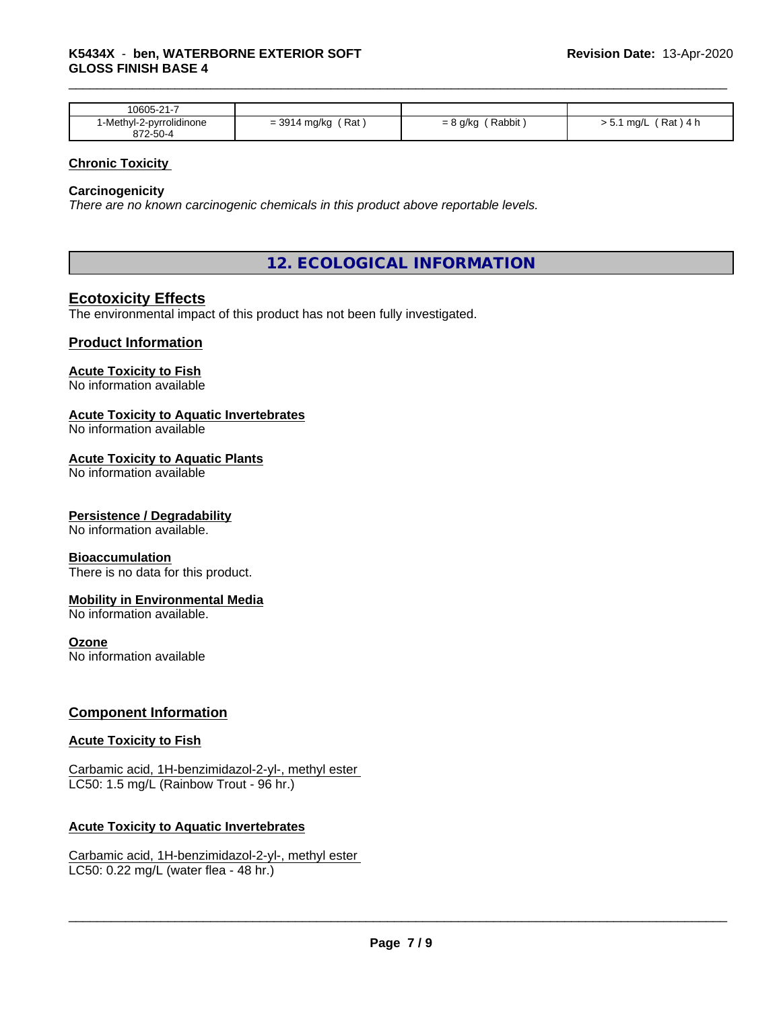| 10605-21-7                                |                                                                                |                       |                          |
|-------------------------------------------|--------------------------------------------------------------------------------|-----------------------|--------------------------|
| .<br>l-Methyl-2-pyrrolidinone<br>372-50-4 | $-301$<br>Rat<br>∙ mg/kg<br>$\overline{\phantom{0}}$<br>= ఎల<br>$\cdot$<br>. . | Rabbit<br>g/kg<br>- 0 | Rat<br>ma/l<br>14 h<br>. |

### **Chronic Toxicity**

### **Carcinogenicity**

*There are no known carcinogenic chemicals in this product above reportable levels.*

## **12. ECOLOGICAL INFORMATION**

### **Ecotoxicity Effects**

The environmental impact of this product has not been fully investigated.

### **Product Information**

### **Acute Toxicity to Fish**

No information available

### **Acute Toxicity to Aquatic Invertebrates**

No information available

### **Acute Toxicity to Aquatic Plants**

No information available

### **Persistence / Degradability**

No information available.

### **Bioaccumulation**

There is no data for this product.

### **Mobility in Environmental Media**

No information available.

### **Ozone**

No information available

### **Component Information**

### **Acute Toxicity to Fish**

Carbamic acid, 1H-benzimidazol-2-yl-, methyl ester LC50: 1.5 mg/L (Rainbow Trout - 96 hr.)

### **Acute Toxicity to Aquatic Invertebrates**

Carbamic acid, 1H-benzimidazol-2-yl-, methyl ester LC50: 0.22 mg/L (water flea - 48 hr.)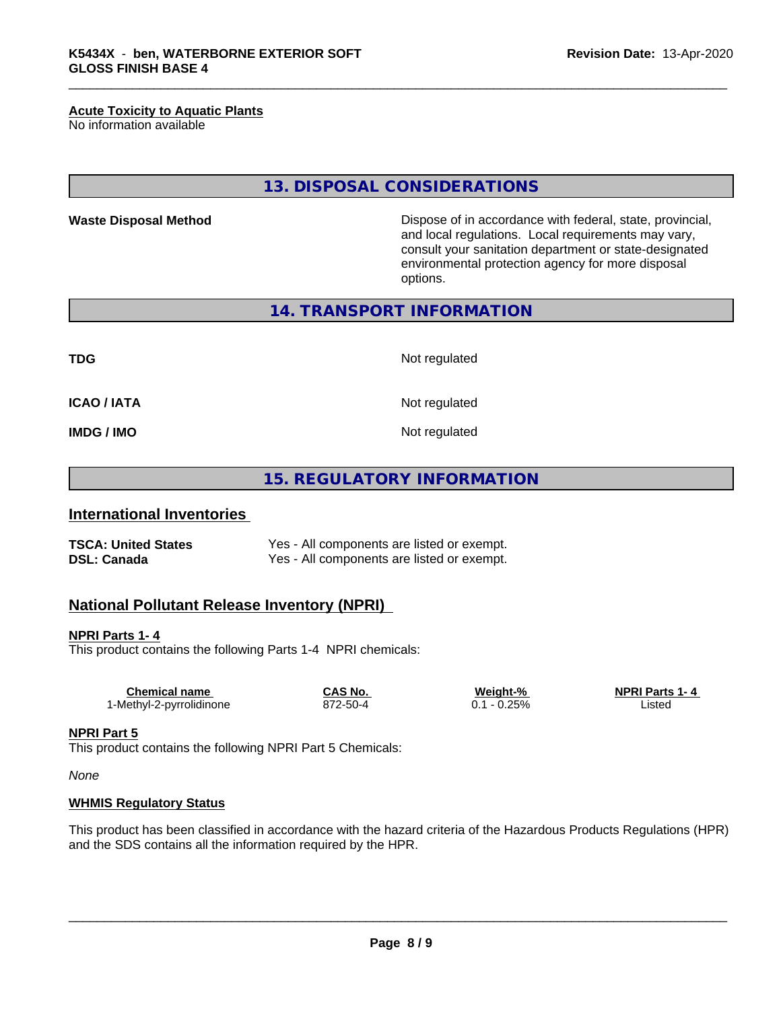### **Acute Toxicity to Aquatic Plants**

No information available

**13. DISPOSAL CONSIDERATIONS**

**Waste Disposal Method Dispose of in accordance with federal, state, provincial,** and local regulations. Local requirements may vary, consult your sanitation department or state-designated environmental protection agency for more disposal options.

**14. TRANSPORT INFORMATION**

**TDG** Not regulated

**ICAO / IATA** Not regulated

**IMDG / IMO** Not regulated

**15. REGULATORY INFORMATION**

### **International Inventories**

**TSCA: United States** Yes - All components are listed or exempt. **DSL: Canada** Yes - All components are listed or exempt.

### **National Pollutant Release Inventory (NPRI)**

### **NPRI Parts 1- 4**

This product contains the following Parts 1-4 NPRI chemicals:

| $-0.25%$<br>872-50-4<br>_isted | Chemical name            | CAS No. | Weight-% | <b>NPRI Parts 1-4</b> |  |
|--------------------------------|--------------------------|---------|----------|-----------------------|--|
|                                | 1-Methyl-2-pyrrolidinone |         |          |                       |  |

### **NPRI Part 5**

This product contains the following NPRI Part 5 Chemicals:

*None*

### **WHMIS Regulatory Status**

This product has been classified in accordance with the hazard criteria of the Hazardous Products Regulations (HPR) and the SDS contains all the information required by the HPR.